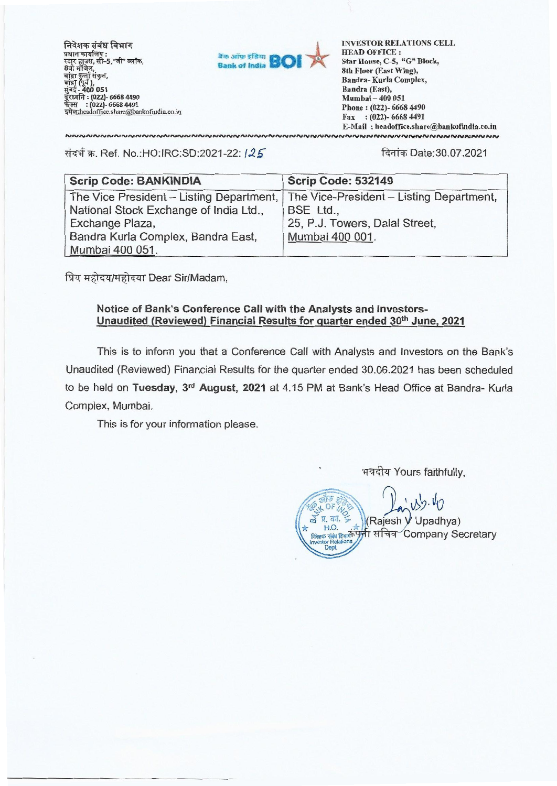निवेशक संबंध विभाग प्रधान कायालय : निवेशक संबंध विभाग<br>प्रधान कार्यालय :<br>स्टार हाउस, सी–5,″जी" ब्लॉक,<br>वांटा कर्ल मंकल बांद्रा (पूर्व ),<br>मुंबई - 400 051<br>दूरध्वनि : (022)- 6668 4490 : (022)- 6668 4491 इमेल:headoffice.share@bankofindia.co.in



INVESTOR RELATIONS CELL HEAD OFFICE : Star House, C-5, "G" Block, 8th Floor (East Wing), Bandra- Kurla Complex, Bandra (East), Mumbai— 400 051 Phone : (022)- 6668 4490 Fax : (022)- 6668 4491 E-Mail : headoffice.share@bankofindia.co.in

mow. Ref. No.:HO:IRC:SD:2021-22:146- R7rf Date:30.07.2021

| <b>Scrip Code: BANKINDIA</b>           | <b>Scrip Code: 532149</b>                                                         |
|----------------------------------------|-----------------------------------------------------------------------------------|
|                                        | The Vice President – Listing Department, The Vice-President – Listing Department, |
| National Stock Exchange of India Ltd., | BSE Ltd.,                                                                         |
| Exchange Plaza,                        | 25, P.J. Towers, Dalal Street,                                                    |
| Bandra Kurla Complex, Bandra East,     | Mumbai 400 001.                                                                   |
| Mumbai 400 051.                        |                                                                                   |

प्रिय महोदय/महोदया Dear Sir/Madam,

### **Notice of Bank's Conference Call with the Analysts and Investors-**Unaudited (Reviewed) Financial Results for quarter ended 30<sup>th</sup> June, 2021

This is to inform you that a Conference Call with Analysts and Investors on the Bank's Unaudited (Reviewed) Financial Results for the quarter ended 30.06.2021 has been scheduled to be held on **Tuesday,** 3rd **August, 2021** at 4.15 PM at Bank's Head Office at Bandra- Kuria Complex, Mumbai.

This is for your information please.

भवदीय Yours faithfully,

 $\sqrt{55.40}$  $\mathbb{E} \left( \mathbb{R} \right)$  (Rajesh  $\mathsf{Y}$  Upadhya) m M. Y. Y.<br>H.O. Alay<br>निवेशक संबंध विभागी पूजी Dept. भवदीय Yours faithfully,<br>संस्कृति के प्राप्त कर संस्कृति है।<br>प्र. का. जा. जा. (Rajesh V Upadhya)<br>star Rajakions<br>both company Secretary